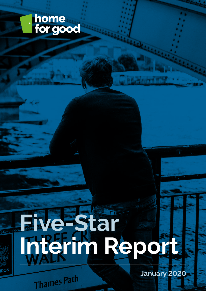

# **Five-Star Interim Report**

**January 2020**

Thames Path

**DOV**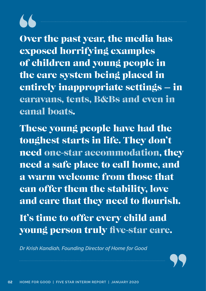Over the past year, the media has exposed horrifying examples of children and young people in the care system being placed in entirely inappropriate settings – in caravans, tents, B&Bs and even in canal boats.

These young people have had the toughest starts in life. They don't need one-star accommodation, they need a safe place to call home, and a warm welcome from those that can offer them the stability, love and care that they need to flourish.

It's time to offer every child and young person truly five-star care.

*Dr Krish Kandiah, Founding Director of Home for Good*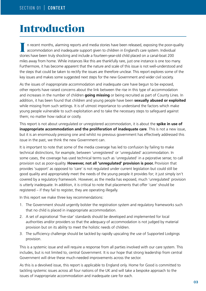# Introduction

n recent months, alarming reports and media stories have been released, exposing the poor-quality accommodation and inadequate support given to children in England's care system. Individual stories have been truly shocking and include a fourteen-year-old child placed on a canal-boat 200 miles away from home. While instances like this are thankfully rare, just one instance is one too many. Furthermore, it has become apparent that the nature and scale of this issue is not well-understood and the steps that could be taken to rectify the issues are therefore unclear. This report explores some of the key issues and makes some suggested next steps for the new Government and wider civil society.

As the issues of inappropriate accommodation and inadequate care have begun to be exposed, other reports have raised concerns about the link between the rise in this type of accommodation and increases in the number of children **going missing** or being recruited as part of County Lines. In addition, it has been found that children and young people have been **sexually abused or exploited**  while missing from such settings. It is of utmost importance to understand the factors which make young people vulnerable to such exploitation and to take the necessary steps to safeguard against them; no matter how radical or costly.

This report is not about unregulated or unregistered accommodation, it is about the **spike in use of inappropriate accommodation and the proliferation of inadequate care**. This is not a new issue, but it is an enormously pressing one and whilst no previous government has effectively addressed this issue in the past, we think the new Government can.

It is important to note that some of the media coverage has led to confusion by failing to make technical distinctions, for example, between 'unregistered' or 'unregulated' accommodation. In some cases, the coverage has used technical terms such as 'unregulated' in a pejorative sense; to call provision out as poor-quality. **However, not all 'unregulated' provision is poor.** Provision that provides 'support' as opposed to 'care' is not regulated under current legislation but could still be good quality and appropriately meet the needs of the young people it provides for; it just simply isn't covered by a regulatory framework. However, as the media has exposed, much 'unregulated' provision is utterly inadequate. In addition, it is critical to note that placements that offer 'care' should be registered – if they fail to register, they are operating illegally.

In this report we make three key recommendations:

- 1. The Government should urgently bolster the registration system and regulatory frameworks such that no child is placed in inappropriate accommodation.
- 2. A set of aspirational 'five-star' standards should be developed and implemented for local authorities and/or providers so that the adequacy of accommodation is not judged by material provision but on its ability to meet the holistic needs of children.
- 3. The sufficiency challenge should be tackled by rapidly upscaling the use of Supported Lodgings provision.

This is a systemic issue and will require a response from all parties involved with our care system. This includes, but is not limited to, central Government. It is our hope that strong leadership from central Government will drive these much-needed improvements across the sector.

As this is a devolved issue, this report is applicable to England only. Home for Good is committed to tackling systemic issues across all four nations of the UK and will take a bespoke approach to the issues of inappropriate accommodation and inadequate care for each.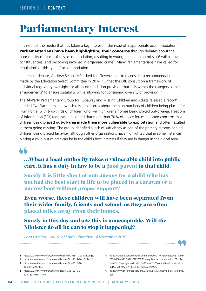# Parliamentary Interest

It is not just the media that has taken a key interest in the issue of inappropriate accommodation. Parliamentarians have been highlighting their concerns through debates about the poor quality of much of this accommodation, resulting in young people going missing<sup>1</sup> within their constituencies<sup>2</sup> and becoming involved in organised crime<sup>3</sup>. Many Parliamentarians have called for regulation<sup>4</sup> of this type of accommodation.

In a recent debate, Andrew Selous MP asked the Government to reconsider a recommendation made by the Education Select Committee in 2014 "…that the DfE consult on a framework of individual regulatory oversight for all accommodation provision that falls within the category 'other arrangements' to ensure suitability while allowing for continuing diversity of provision.<sup>5</sup>"

The All-Party Parliamentary Group for Runaway and Missing Children and Adults released a report<sup>6</sup> entitled 'No Place at Home' which raised concerns about the high numbers of children being placed far from home, with two-thirds of children who live in children's homes being placed out-of-area. Freedom of Information (FOI) requests highlighted that more than 70% of police forces reported concerns that children being **placed out-of-area made them more vulnerable to exploitation** and often resulted in them going missing. The group identified a lack of sufficiency as one of the primary reasons behind children being placed far away, although other organisations have highlighted that in some instances placing a child out of area can be in the child's best interests if they are in danger in their local area.

### …When a local authority takes a vulnerable child into public care, it has a duty in law to be a good parent to that child.

Surely it is little short of outrageous for a child who has not had the best start in life to be placed in a caravan or a narrowboat without proper support?

Even worse, these children will have been separated from their wider family, friends and school, as they are often placed miles away from their homes.

### Surely in this day and age this is unacceptable. Will the Minister do all he can to stop it happening?

*Lord Laming - House of Lords Chamber - 4 November 2019*



- **1** https://www.theyworkforyou.com/whall/?id=2019-10-23a.31.0#g32.1
- **2** https://www.theyworkforyou.com/debates/?id=2019-10-15c.261.2 **3** https://www.theyworkforyou.com/debates/?id=2019-10-
- 16b.271.2#g346.0
- **4** https://www.theyworkforyou.com/debates/?id=2019-01- 17a.1395.0#g1416.0
- **5** https://hansard.parliament.uk/Commons/2019-10-15/debates/4E797934- E334-46F8-912F-8701F7F36E75/UnregulatedAccommodation16To17- Year-Olds?highlight=education%20select%20committee#contribution-8BD53520-042C-4139-9EB8-1DFA0737699A
- **6** https://www.childrenssociety.org.uk/sites/default/files/no-place-at-home. pdf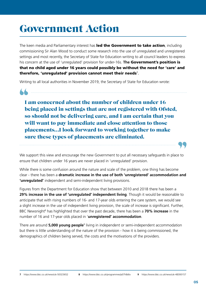# Government Action

The keen media and Parliamentary interest has led the Government to take action, including commissioning Sir Alan Wood to conduct some research into the use of unregulated and unregistered settings and most recently, the Secretary of State for Education writing to all council leaders to express his concern at the use of 'unregulated' provision for under-16s. **The** Government's position is that no child aged under 16 years could possibly be without the need for 'care' and therefore, 'unregulated' provision cannot meet their needs $^7\!$ .

Writing to all local authorities in November 2019, the Secretary of State for Education wrote:

I am concerned about the number of children under 16 being placed in settings that are not registered with Ofsted, so should not be delivering care, and I am certain that you will want to pay immediate and close attention to those placements…I look forward to working together to make sure these types of placements are eliminated.

We support this view and encourage the new Government to put all necessary safeguards in place to ensure that children under 16 years are never placed in 'unregulated' provision.

While there is some confusion around the nature and scale of the problem, one thing has become clear - there has been a **dramatic increase in the use of both 'unregistered' accommodation and 'unregulated'** independent and semi-independent living provisions.

Figures from the Department for Education show that between 2010 and 2018 there has been a **29% increase in the use of 'unregulated' independent living**. Though it would be reasonable to anticipate that with rising numbers of 16- and 17-year olds entering the care system, we would see a slight increase in the use of independent living provision, the scale of increase is significant. Further, BBC Newsnight<sup>8</sup> has highlighted that over the past decade, there has been a **70% increase** in the number of 16 and 17-year olds placed in '**unregistered' accommodation**.

There are around **5,000 young people**<sup>9</sup> living in independent or semi-independent accommodation but there is little understanding of the nature of the provision - how it is being commissioned, the demographics of children being served, the costs and the motivations of the providers.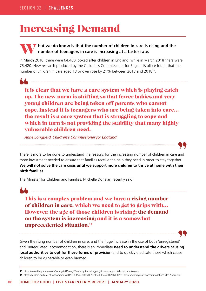# Increasing Demand

### **hat we do know is that the number of children in care is rising and the number of teenagers in care is increasing at a faster rate.**

In March 2010, there were 64,400 looked after children in England, while in March 2018 there were 75,420. New research produced by the Children's Commissioner for England's office found that the number of children in care aged 13 or over rose by 21% between 2013 and 2018<sup>10</sup>.

It is clear that we have a care system which is playing catch up. The new norm is shifting so that fewer babies and very young children are being taken off parents who cannot cope. Instead it is teenagers who are being taken into care… the result is a care system that is struggling to cope and which in turn is not providing the stability that many highly vulnerable children need.

*Anne Longfield, Children's Commissioner for England* 

There is more to be done to understand the reasons for the increasing number of children in care and more investment needed to ensure that families receive the help they need in order to stay together. **We will not solve the care crisis until we support more children to thrive at home with their birth families.**

The Minister for Children and Families, Michelle Donelan recently said:

This is a complex problem and we have a rising number of children in care, which we need to get to grips with… However, the age of those children is rising; the demand on the system is increasing; and it is a somewhat unprecedented situation. 11



Given the rising number of children in care, and the huge increase in the use of both 'unregistered' and 'unregulated' accommodation, there is an immediate **need to understand the drivers causing local authorities to opt for these forms of provision** and to quickly eradicate those which cause children to be vulnerable or even harmed.

**11** https://hansard.parliament.uk/Commons/2019-10-15/debates/4E797934-E334-46F8-912F-8701F7F36E75/UnregulatedAccommodation16To17-Year-Olds

**<sup>10</sup>** https://www.theguardian.com/society/2019/aug/01/care-system-struggling-to-cope-says-childrens-commissioner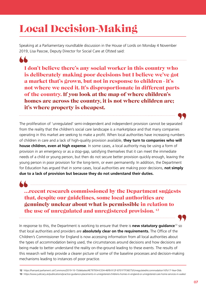# Local Decision-Making

Speaking at a Parliamentary roundtable discussion in the House of Lords on Monday 4 November 2019, Lisa Pascoe, Deputy Director for Social Care at Ofsted said:

I don't believe there's any social worker in this country who is deliberately making poor decisions but I believe we've got a market that's grown, but not in response to children - it's not where we need it. It's disproportionate in different parts of the country. If you look at the map of where children's homes are across the country, it is not where children are; it's where property is cheapest.

The proliferation of 'unregulated' semi-independent and independent provision cannot be separated from the reality that the children's social care landscape is a marketplace and that many companies operating in this market are seeking to make a profit. When local authorities have increasing numbers of children in care and a lack of high-quality provision available, **they turn to companies who will house children, even at high expense**. In some cases, a local authority may be using a form of provision in an emergency or as a stop-gap, satisfying themselves that it can meet the immediate needs of a child or young person, but then do not secure better provision quickly enough, leaving the young person in poor provision for the long-term, or even permanently. In addition, the Department for Education has argued that in some cases, local authorities are making poor decisions, **not simply due to a lack of provision but because they do not understand their duties.**

…recent research commissioned by the Department suggests that, despite our guidelines, some local authorities are genuinely unclear about what is permissible in relation to the use of unregulated and unregistered provision.<sup>12</sup>

In response to this, the Department is working to ensure that there is **new statutory guidance**<sup>13</sup> so that local authorities and providers are **absolutely clear on the requirements.** The Office of the Children's Commissioner for England is now accessing information from all local authorities about the types of accommodation being used, the circumstances around decisions and how decisions are being made to better understand the reality on-the-ground leading to these events. The results of this research will help provide a clearer picture of some of the baseline processes and decision-making mechanisms leading to instances of poor practice.

**12** https://hansard.parliament.uk/Commons/2019-10-15/debates/4E797934-E334-46F8-912F-8701F7F36E75/UnregulatedAccommodation16To17-Year-Olds

**13** https://www.judiciary.uk/publications/practice-guidance-placements-in-unregistered-childrens-homes-in-england-or-unregistered-care-home-services-in-wales/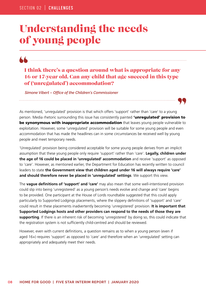### Understanding the needs of young people

### I think there's a question around what is appropriate for any 16 or 17-year old. Can any child that age succeed in this type of ('unregulated') accommodation?

*Simone Vibert – Office of the Children's Commissioner* 

As mentioned, 'unregulated' provision is that which offers 'support' rather than 'care' to a young person. Media rhetoric surrounding this issue has consistently painted 'unregulated' provision to be synonymous with inappropriate accommodation that leaves young people vulnerable to exploitation. However, some 'unregulated' provision will be suitable for some young people and even accommodation that has made the headlines can in some circumstances be received well by young people and meet temporary needs.

'Unregulated' provision being considered acceptable for some young people derives from an implicit assumption that these young people only require 'support' rather than 'care'. **Legally, children under the age of 16 could be placed in 'unregulated' accommodation** and receive 'support' as opposed to 'care'. However, as mentioned earlier, the Department for Education has recently written to council leaders to state **the Government view that children aged under 16 will always require 'care' and should therefore never be placed in 'unregulated' settings**. We support this view.

The **vague definitions of 'support' and 'care'** may also mean that some well-intentioned provision could slip into being 'unregistered' as a young person's needs evolve and change and 'care' begins to be provided. One participant at the House of Lords roundtable suggested that this could apply particularly to Supported Lodgings placements, where the slippery definitions of 'support' and 'care' could result in these placements inadvertently becoming 'unregistered' provision. **It is important that Supported Lodgings hosts and other providers can respond to the needs of those they are supporting**. If there is an inherent risk of becoming 'unregistered' by doing so, this could indicate that the registration system is not sufficiently child-centred and should be reviewed.

However, even with current definitions, a question remains as to when a young person (even if aged 16+) requires 'support' as opposed to 'care' and therefore when an 'unregulated' setting can appropriately and adequately meet their needs.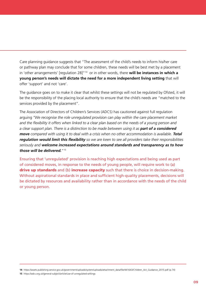Care planning guidance suggests that "The assessment of the child's needs to inform his/her care or pathway plan may conclude that for some children, these needs will be best met by a placement in 'other arrangements' [regulation 28]<sup>"14</sup> or in other words, there will be instances in which a **young person's needs will dictate the need for a more independent living setting** that will offer 'support' and not 'care'.

The guidance goes on to make it clear that whilst these settings will not be regulated by Ofsted, it will be the responsibility of the placing local authority to ensure that the child's needs are "matched to the services provided by the placement".

The Association of Directors of Children's Services (ADCS) has cautioned against full regulation arguing *"We recognise the role unregulated provision can play within the care placement market and the flexibility it offers when linked to a clear plan based on the needs of a young person and*  a clear support plan. There is a distinction to be made between using it as **part of a considered** *move* compared with using it to deal with a crisis when no other accommodation is available. **Total** *regulation would limit this flexibility so we are keen to see all providers take their responsibilities seriously and welcome increased expectations around standards and transparency as to how those will be delivered.*"15

Ensuring that 'unregulated' provision is reaching high expectations and being used as part of considered moves, in response to the needs of young people, will require work to (a) drive up standards and (b) increase capacity such that there is choice in decision-making. Without aspirational standards in place and sufficient high-quality placements, decisions will be dictated by resources and availability rather than in accordance with the needs of the child or young person.

**14** https://assets.publishing.service.gov.uk/government/uploads/system/uploads/attachment\_data/file/441643/Children\_Act\_Guidance\_2015.pdf (p.74)

**15** https://adcs.org.uk/general-subject/article/use-of-unregulated-settings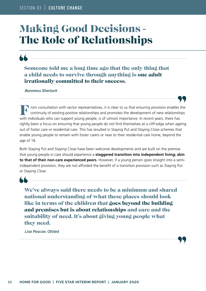## Making Good Decisions - The Role of Relationships

Someone told me a long time ago that the only thing that a child needs to survive through anything is one adult irrationally committed to their success.

*Baroness Sherlock*

rom consultation with sector representatives, it is clear to us that ensuring provision enables the continuity of existing positive relationships and promotes the development of new relationships with individuals who can support young people, is of utmost importance. In recent years, there has rightly been a focus on ensuring that young people do not find themselves at a cliff-edge when ageing out of foster care or residential care. This has resulted in Staying Put and Staying Close schemes that enable young people to remain with foster carers or near to their residential care home, beyond the age of 18.

Both Staying Put and Staying Close have been welcome developments and are built on the premise that young people in care should experience a **staggered transition into independent living; akin to that of their non-care experienced peers**. However, if a young person goes straight into a semiindependent provision, they are not afforded the benefit of a transition provision such as Staying Put or Staying Close.

We've always said there needs to be a minimum and shared national understanding of what these places should look like in terms of the children that goes beyond the building and premises but is about relationships and care and the suitability of need. It's about giving young people what they need.

*Lisa Pascoe, Ofsted*

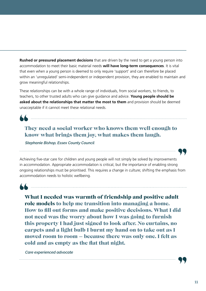**Rushed or pressured placement decisions** that are driven by the need to get a young person into accommodation to meet their basic material needs **will have long-term consequences**. It is vital that even when a young person is deemed to only require 'support' and can therefore be placed within an 'unregulated' semi-independent or independent provision, they are enabled to maintain and grow meaningful relationships.

These relationships can be with a whole range of individuals, from social workers, to friends, to teachers, to other trusted adults who can give guidance and advice. **Young people should be asked about the relationships that matter the most to them** and provision should be deemed unacceptable if it cannot meet these relational needs.

They need a social worker who knows them well enough to know what brings them joy, what makes them laugh.

*Stephanie Bishop, Essex County Council*

Achieving five-star care for children and young people will not simply be solved by improvements in accommodation. Appropriate accommodation is critical, but the importance of enabling strong ongoing relationships must be prioritised. This requires a change in culture; shifting the emphasis from accommodation needs to holistic wellbeing.



What I needed was warmth of friendship and positive adult role models to help me transition into managing a home. How to fill out forms and make positive decisions. What I did not need was the worry about how I was going to furnish this property I had just signed to look after. No curtains, no carpets and a light bulb I burnt my hand on to take out as I moved room to room – because there was only one. I felt as cold and as empty as the flat that night.

*Care experienced advocate*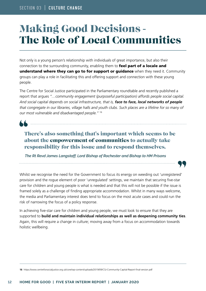## Making Good Decisions - The Role of Local Communities

Not only is a young person's relationship with individuals of great importance, but also their connection to the surrounding community, enabling them to feel part of a locale and understand where they can go to for support or guidance when they need it. Community groups can play a role in facilitating this and offering support and connection with these young people.

The Centre for Social Justice participated in the Parliamentary roundtable and recently published a report that argues *"…community engagement (purposeful participation) affords people social capital. And social capital depends on social infrastructure, that is, face to face, local networks of people that congregate in our libraries, village halls and youth clubs. Such places are a lifeline for so many of our most vulnerable and disadvantaged people."* <sup>16</sup>

### There's also something that's important which seems to be about the empowerment of communities to actually take responsibility for this issue and to respond themselves.

*The Rt Revd James Langstaff, Lord Bishop of Rochester and Bishop to HM Prisons*

Whilst we recognise the need for the Government to focus its energy on weeding out 'unregistered' provision and the rogue element of poor 'unregulated' settings, we maintain that securing five-star care for children and young people is what is needed and that this will not be possible if the issue is framed solely as a challenge of finding appropriate accommodation. Whilst in many ways welcome, the media and Parliamentary interest does tend to focus on the most acute cases and could run the risk of narrowing the focus of a policy response.

In achieving five-star care for children and young people, we must look to ensure that they are supported to **build and maintain individual relationships as well as deepening community ties**. Again, this will require a change in culture; moving away from a focus on accommodation towards holistic wellbeing.

**16** https://www.centreforsocialjustice.org.uk/core/wp-content/uploads/2019/09/CSJ-Community-Capital-Report-final-version.pdf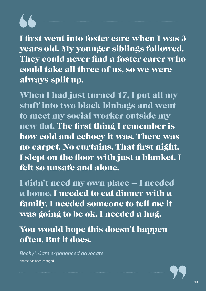I first went into foster care when I was 3 years old. My younger siblings followed. They could never find a foster carer who could take all three of us, so we were always split up.

When I had just turned 17, I put all my stuff into two black binbags and went to meet my social worker outside my new flat. The first thing I remember is how cold and echoey it was. There was no carpet. No curtains. That first night, I slept on the floor with just a blanket. I felt so unsafe and alone.

I didn't need my own place – I needed a home. I needed to eat dinner with a family. I needed someone to tell me it was going to be ok. I needed a hug.

You would hope this doesn't happen often. But it does.

*Becky\*, Care experienced advocate* \*name has been changed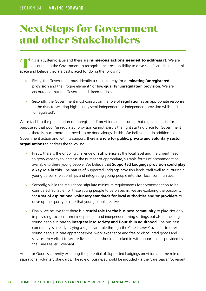### Next Steps for Government and other Stakeholders

**his is a systemic issue and there are numerous actions needed to address it.** We are encouraging the Government to recognise their responsibility to drive significant change in this space and believe they are best placed for doing the following:

- » Firstly, the Government must identify a clear strategy for **eliminating 'unregistered' provision** and the "rogue element" of **low-quality 'unregulated' provision**. We are encouraged that the Government is keen to do so.
- » Secondly, the Government must consult on the role of **regulation** as an appropriate response to the risks to securing high-quality semi-independent or independent provision whilst left 'unregulated'.

While tackling the proliferation of 'unregistered' provision and ensuring that regulation is fit for purpose so that poor 'unregulated' provision cannot exist is the right starting place for Government action, there is much more that needs to be done alongside this. We believe that in addition to Government action and with its support, there is **a role for public, private and voluntary sector organisations** to address the following:

- » Firstly, there is the ongoing challenge of **sufficiency** at the local level and the urgent need to grow capacity to increase the number of appropriate, suitable forms of accommodation available to these young people. We believe that **Supported Lodgings provision could play a key role in this**. The nature of Supported Lodgings provision lends itself well to nurturing a young person's relationships and integrating young people into their local communities.
- » Secondly, while the regulations stipulate minimum requirements for accommodation to be considered 'suitable' for these young people to be placed in, we are exploring the possibility for **a set of aspirational voluntary standards for local authorities and/or providers** to drive up the quality of care that young people receive.
- » Finally, we believe that there is a **crucial role for the business community** to play. Not only in providing excellent semi-independent and independent living settings but also in helping young people in care to **integrate into society and flourish in adulthood**. The business community is already playing a significant role through the Care Leaver Covenant to offer young people in care apprenticeships, work experience and free or discounted goods and services. Any effort to secure five-star care should be linked in with opportunities provided by the Care Leaver Covenant.

Home for Good is currently exploring the potential of Supported Lodgings provision and the role of aspirational voluntary standards. The role of business should be included via the Care Leaver Covenant.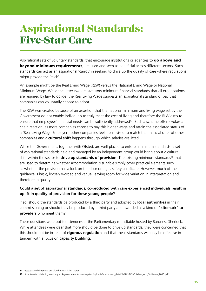## Aspirational Standards: Five-Star Care

Aspirational sets of voluntary standards, that encourage institutions or agencies to **go above and** beyond minimum requirements, are used and seen as beneficial across different sectors. Such standards can act as an aspirational 'carrot' in seeking to drive up the quality of care where regulations might provide the 'stick'.

An example might be the Real Living Wage (RLW) versus the National Living Wage or National Minimum Wage. While the latter two are statutory minimum financial standards that all organisations are required by law to oblige, the Real Living Wage suggests an aspirational standard of pay that companies can voluntarily choose to adopt.

The RLW was created because of an assertion that the national minimum and living wage set by the Government do not enable individuals to truly meet the cost of living and therefore the RLW aims to ensure that employees' financial needs can be sufficiently addressed<sup>17</sup>. Such a scheme often evokes a chain reaction; as more companies choose to pay this higher wage and attain the associated status of a 'Real Living Wage Employer', other companies feel incentivised to match the financial offer of other companies and a **cultural shift** happens through which salaries are lifted.

While the Government, together with Ofsted, are well-placed to enforce minimum standards, a set of aspirational standards held and managed by an independent group could bring about a cultural shift within the sector to **drive up standards of provision**. The existing minimum standards18 that are used to determine whether accommodation is suitable simply cover practical elements such as whether the provision has a lock on the door or a gas safety certificate. However, much of the guidance is basic, loosely worded and vague, leaving room for wide variation in interpretation and therefore in quality.

### **Could a set of aspirational standards, co-produced with care experienced individuals result in uplift in quality of provision for these young people?**

If so, should the standards be produced by a third party and adopted by **local authorities** in their commissioning or should they be produced by a third party and awarded as a kind of **"kitemark" to providers** who meet them?

These questions were put to attendees at the Parliamentary roundtable hosted by Baroness Sherlock. While attendees were clear that more should be done to drive up standards, they were concerned that this should not be instead of **rigorous regulation** and that these standards will only be effective in tandem with a focus on **capacity building**.

**<sup>17</sup>** https://www.livingwage.org.uk/what-real-living-wage

**<sup>18</sup>** https://assets.publishing.service.gov.uk/government/uploads/system/uploads/attachment\_data/file/441643/Children\_Act\_Guidance\_2015.pdf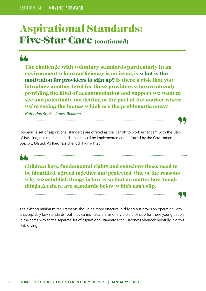### Aspirational Standards: Five-Star Care (continued)

The challenge with voluntary standards particularly in an environment where sufficiency is an issue, is what is the motivation for providers to sign up? Is there a risk that you introduce another level for those providers who are already providing the kind of accommodation and support we want to see and potentially not getting at the part of the market where we're seeing the homes which are the problematic ones?

 $\sum$  , and an anomalization and anomalization and anomalization and anomalization and anomalization of  $\mathcal{L}$ 

*Katherine Sacks-Jones, Become*

However, a set of aspirational standards are offered as the 'carrot' to work in tandem with the 'stick' of baseline, minimum standards that should be implemented and enforced by the Government and possibly, Ofsted. As Baroness Sherlock highlighted:

Children have fundamental rights and somehow those need to be identified, agreed together and protected. One of the reasons why we establish things in law is so that no matter how tough things get there are standards below which can't slip.

The existing minimum requirements should be more effective in driving out provision operating with unacceptably low standards, but they cannot create a visionary picture of care for these young people in the same way that a separate set of aspirational standards can. Baroness Sherlock helpfully laid this out, saying: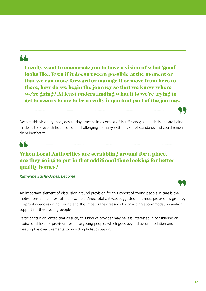I really want to encourage you to have a vision of what 'good' looks like. Even if it doesn't seem possible at the moment or that we can move forward or manage it or move from here to there, how do we begin the journey so that we know where we're going? At least understanding what it is we're trying to get to occurs to me to be a really important part of the journey.

Despite this visionary ideal, day-to-day practice in a context of insufficiency, when decisions are being made at the eleventh hour, could be challenging to marry with this set of standards and could render them ineffective:

### 

### When Local Authorities are scrabbling around for a place, are they going to put in that additional time looking for better quality homes?

### *Katherine Sacks-Jones, Become*



An important element of discussion around provision for this cohort of young people in care is the motivations and context of the providers. Anecdotally, it was suggested that most provision is given by for-profit agencies or individuals and this impacts their reasons for providing accommodation and/or support for these young people.

Participants highlighted that as such, this kind of provider may be less interested in considering an aspirational level of provision for these young people, which goes beyond accommodation and meeting basic requirements to providing holistic support.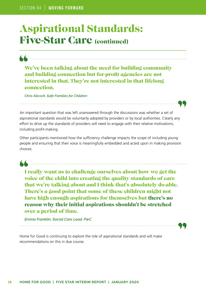### Aspirational Standards: Five-Star Care (continued)

 $\sum_{i=1}^{\infty}$  , and an anomalization continuous contraction continuous contraction contraction contraction contract of  $\mathcal{L}$ 

We've been talking about the need for building community and building connection but for-profit agencies are not interested in that. They're not interested in that lifelong connection.

*Chris Allcock, Safe Families for Children*

An important question that was left unanswered through the discussions was whether a set of aspirational standards would be voluntarily adopted by providers or by local authorities. Clearly any effort to drive up the standards of providers will need to engage with their relative motivations; including profit-making.

Other participants mentioned how the sufficiency challenge impacts the scope of including young people and ensuring that their voice is meaningfully embedded and acted upon in making provision choices.

I really want us to challenge ourselves about how we get the voice of the child into creating the quality standards of care that we're talking about and I think that's absolutely do-able. There's a good point that some of these children might not have high enough aspirations for themselves but there's no reason why their initial aspirations shouldn't be stretched over a period of time.

*Emma Franklin, Social Care Lead, PwC*

Home for Good is continuing to explore the role of aspirational standards and will make recommendations on this in due course.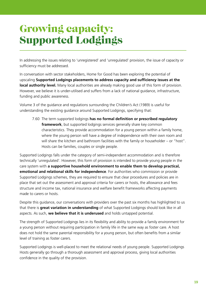# Growing capacity: Supported Lodgings

In addressing the issues relating to 'unregistered' and 'unregulated' provision, the issue of capacity or sufficiency must be addressed.

In conversation with sector stakeholders, Home for Good has been exploring the potential of upscaling **Supported Lodgings placements to address capacity and sufficiency issues at the local authority level.** Many local authorities are already making good use of this form of provision. However, we believe it is under-utilised and suffers from a lack of national guidance, infrastructure, funding and public awareness.

Volume 3 of the guidance and regulations surrounding the Children's Act (1989) is useful for understanding the existing guidance around Supported Lodgings, specifying that:

 7.60 The term supported lodgings **has no formal definition or prescribed regulatory framework**, but supported lodgings services generally share key common characteristics. They provide accommodation for a young person within a family home, where the young person will have a degree of independence with their own room and will share the kitchen and bathroom facilities with the family or householder – or "host". Hosts can be families, couples or single people.

Supported Lodgings falls under the category of semi-independent accommodation and is therefore technically 'unregulated'. However, this form of provision is intended to provide young people in the care system with **a supportive household environment to enable them to develop practical, emotional and relational skills for independence**. For authorities who commission or provide Supported Lodgings schemes, they are required to ensure that clear procedures and policies are in place that set out the assessment and approval criteria for carers or hosts, the allowance and fees structure and income tax, national insurance and welfare benefit frameworks affecting payments made to carers or hosts.

Despite this guidance, our conversations with providers over the past six months has highlighted to us that there is **great variation in understanding** of what Supported Lodgings should look like in all aspects. As such, **we believe that it is underused** and holds untapped potential.

The strength of Supported Lodgings lies in its flexibility and ability to provide a family environment for a young person without requiring participation in family life in the same way as foster care. A host does not hold the same parental responsibility for a young person, but often benefits from a similar level of training as foster carers.

Supported Lodgings is well-placed to meet the relational needs of young people. Supported Lodgings Hosts generally go through a thorough assessment and approval process, giving local authorities confidence in the quality of the provision.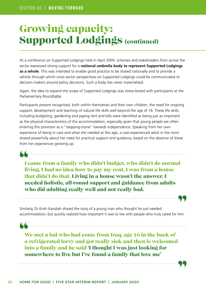### Growing capacity: Supported Lodgings (continued)

At a conference on Supported Lodgings held in April 2009, schemes and stakeholders from across the sector expressed strong support for a **national umbrella body to represent Supported Lodgings as a whole**. This was intended to enable good practice to be shared nationally and to provide a vehicle through which cross-sector perspectives on Supported Lodgings could be communicated to decision makers around policy decisions. Such a body has never materialised.

Again, the idea to expand the scope of Supported Lodgings was stress-tested with participants at the Parliamentary Roundtable.

Participants present recognised, both within themselves and their own children, the need for ongoing support, development and teaching of natural life skills well beyond the age of 16. These life skills, including budgeting, gardening and paying rent and bills were identified as being just as important as the physical characteristics of the accommodation, especially given that young people are often entering this provision as a "stepping-stone" towards independence. Speaking from her own experience of being in care and what she needed at this age, a care-experienced adult in the room shared powerfully about her need for practical support and guidance, based on the absence of these from her experiences growing up:

**Organization in the contract of the contract of the contract of the contract of the contract of the contract of the contract of the contract of the contract of the contract of the contract of the contract of the contract** 

I came from a family who didn't budget, who didn't do normal living, I had no idea how to pay my rent, I was from a house that didn't do that. Living in a house wasn't the answer. I needed holistic, all-round support and guidance from adults who did adulting really well and not really bad.

Similarly, Dr Krish Kandiah shared the story of a young man who thought he just needed accommodation, but quickly realized how important it was to live with people who truly cared for him:

We met a lad who had come from Iraq, age 16 in the back of a refrigerated lorry and got really sick and then is welcomed into a family and he said 'I thought I was just looking for somewhere to live but I've found a family that love me'

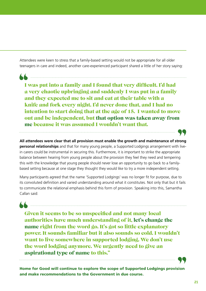Attendees were keen to stress that a family-based setting would not be appropriate for all older teenagers in care and indeed, another care-experienced participant shared a little of her story saying:

**A Communication of the Communication of the Communication of the Communication** 

I was put into a family and I found that very difficult. I'd had a very chaotic upbringing and suddenly I was put in a family and they expected me to sit and eat at their table with a knife and fork every night. I'd never done that, and I had no intention to start doing that at the age of 15. I wanted to move out and be independent, but that option was taken away from me because it was assumed I wouldn't want that.

**All attendees were clear that all provision must enable the growth and maintenance of strong personal relationships** and that for many young people, a Supported Lodgings arrangement with livein carers could be instrumental in securing this. Furthermore, it is important to strike the appropriate balance between hearing from young people about the provision they feel they need and tempering this with the knowledge that young people should never lose an opportunity to go back to a familybased setting because at one stage they thought they would like to try a more independent setting.

Many participants agreed that the name 'Supported Lodgings' was no longer fit for purpose, due to its convoluted definition and varied understanding around what it constitutes. Not only that but it fails to communicate the relational emphasis behind this form of provision. Speaking into this, Samantha Callan said:

<u>A minimum communication and the set of the set of the set of the set of the set of the set of the set of the set of the set of the set of the set of the set of the set of the set of the set of the set of the set of the se</u>

Given it seems to be so unspecified and not many local authorities have much understanding of it, let's change the name right from the word go. It's got so little explanatory power. It sounds familiar but it also sounds so cold. I wouldn't want to live somewhere in supported lodging. We don't use the word lodging anymore. We urgently need to give an aspirational type of name to this."



Home for Good will continue to explore the scope of Supported Lodgings provision and make recommendations to the Government in due course.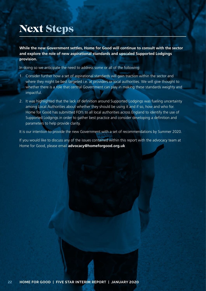# Next Steps

**While the new Government settles, Home for Good will continue to consult with the sector and explore the role of new aspirational standards and upscaled Supported Lodgings provision.** 

In doing so we anticipate the need to address some or all of the following:

- 1. Consider further how a set of aspirational standards will gain traction within the sector and where they might be best targeted i.e. at providers or local authorities. We will give thought to whether there is a role that central Government can play in making these standards weighty and impactful.
- 2. It was highlighted that the lack of definition around Supported Lodgings was fueling uncertainty among Local Authorities about whether they should be using it and if so, how and who for. Home for Good has submitted FOI's to all local authorities across England to identify the use of Supported Lodgings in order to gather best practice and consider developing a definition and parameters to help provide clarity.

It is our intention to provide the new Government with a set of recommendations by Summer 2020.

If you would like to discuss any of the issues contained within this report with the advocacy team at Home for Good, please email **advocacy@homeforgood.org.uk**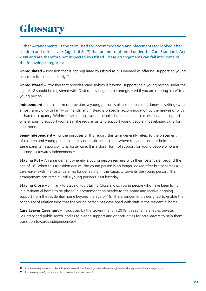# **Glossary**

'Other Arrangements' is the term used for accommodation and placements for looked after children and care leavers (aged 16 & 17) that are not registered under the Care Standards Act 2000 and are therefore not inspected by Ofsted. These arrangements can fall into some of the following categories:

**Unregulated –** Provision that is not regulated by Ofsted as it is deemed as offering 'support' to young people to live independently.19

**Unregistered** – Provision that provides 'care' (which is beyond 'support') to a young person under the age of 18 should be registered with Ofsted. It is illegal to be unregistered if you are offering 'care' to a young person.

**Independent** – In this form of provision, a young person is placed outside of a domestic setting (with a host family or with family or friends) and instead is placed in accommodation by themselves or with a shared occupancy. Within these settings, young people should be able to access 'floating support' where housing support workers make regular visits to support young people in developing skills for adulthood.

**Semi-independent** – For the purposes of this report, this term generally refers to the placement of children and young people in family domestic settings but where the adults do not hold the same parental responsibility as foster care. It is a closer form of support for young people who are journeying towards independence.

**Staying Put –** An arrangement whereby a young person remains with their foster carer beyond the age of 18. When this transition occurs, the young person is no longer looked after but becomes a care leaver with the foster carer no longer acting in this capacity towards the young person. This arrangement can remain until a young person's 21st birthday.

**Staying Close –** Similarly to Staying Put, Staying Close allows young people who have been living in a residential home to be placed in accommodation nearby to the home and receive ongoing support from the residential home beyond the age of 18. This arrangement is designed to enable the continuity of relationships that the young person has developed with staff in the residential home.

**Care Leaver Covenant –** Introduced by the Government in 2018, this scheme enables private, voluntary and public sector bodies to pledge support and opportunities for care leavers to help them transition towards independence.<sup>20</sup>

**<sup>19</sup>** https://www.stephensons.co.uk/site/blog/professional-discipline-blog/ofsted-release-unregistered-and-unregulated-differences-guidance

**<sup>20</sup>** https://www.gov.uk/government/collections/care-leaver-covenant--2